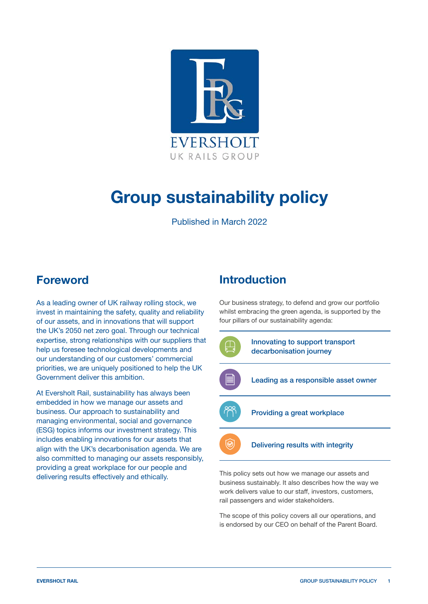

# **Group sustainability policy**

Published in March 2022

### **Foreword**

As a leading owner of UK railway rolling stock, we invest in maintaining the safety, quality and reliability of our assets, and in innovations that will support the UK's 2050 net zero goal. Through our technical expertise, strong relationships with our suppliers that help us foresee technological developments and our understanding of our customers' commercial priorities, we are uniquely positioned to help the UK Government deliver this ambition.

At Eversholt Rail, sustainability has always been embedded in how we manage our assets and business. Our approach to sustainability and managing environmental, social and governance (ESG) topics informs our investment strategy. This includes enabling innovations for our assets that align with the UK's decarbonisation agenda. We are also committed to managing our assets responsibly, providing a great workplace for our people and delivering results effectively and ethically.

### **Introduction**

Our business strategy, to defend and grow our portfolio whilst embracing the green agenda, is supported by the four pillars of our sustainability agenda:



This policy sets out how we manage our assets and business sustainably. It also describes how the way we work delivers value to our staff, investors, customers, rail passengers and wider stakeholders.

The scope of this policy covers all our operations, and is endorsed by our CEO on behalf of the Parent Board.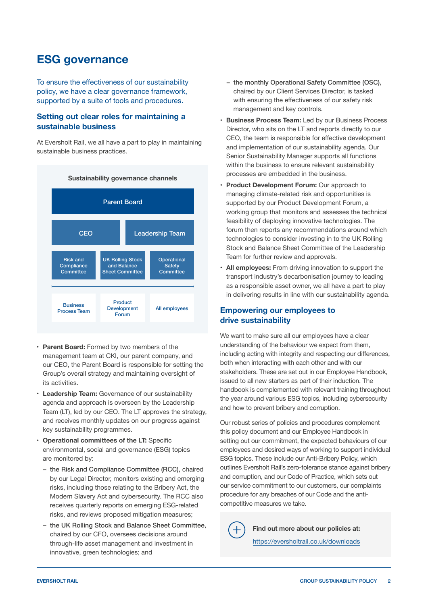### **ESG governance**

To ensure the effectiveness of our sustainability policy, we have a clear governance framework, supported by a suite of tools and procedures.

#### **Setting out clear roles for maintaining a sustainable business**

At Eversholt Rail, we all have a part to play in maintaining sustainable business practices.



- **• Parent Board:** Formed by two members of the management team at CKI, our parent company, and our CEO, the Parent Board is responsible for setting the Group's overall strategy and maintaining oversight of its activities.
- **• Leadership Team:** Governance of our sustainability agenda and approach is overseen by the Leadership Team (LT), led by our CEO. The LT approves the strategy, and receives monthly updates on our progress against key sustainability programmes.
- **Operational committees of the LT: Specific** environmental, social and governance (ESG) topics are monitored by:
	- the Risk and Compliance Committee (RCC), chaired by our Legal Director, monitors existing and emerging risks, including those relating to the Bribery Act, the Modern Slavery Act and cybersecurity. The RCC also receives quarterly reports on emerging ESG-related risks, and reviews proposed mitigation measures;
	- the UK Rolling Stock and Balance Sheet Committee, chaired by our CFO, oversees decisions around through-life asset management and investment in innovative, green technologies; and
- the monthly Operational Safety Committee (OSC), chaired by our Client Services Director, is tasked with ensuring the effectiveness of our safety risk management and key controls.
- **• Business Process Team:** Led by our Business Process Director, who sits on the LT and reports directly to our CEO, the team is responsible for effective development and implementation of our sustainability agenda. Our Senior Sustainability Manager supports all functions within the business to ensure relevant sustainability processes are embedded in the business.
- **• Product Development Forum:** Our approach to managing climate-related risk and opportunities is supported by our Product Development Forum, a working group that monitors and assesses the technical feasibility of deploying innovative technologies. The forum then reports any recommendations around which technologies to consider investing in to the UK Rolling Stock and Balance Sheet Committee of the Leadership Team for further review and approvals.
- **• All employees:** From driving innovation to support the transport industry's decarbonisation journey to leading as a responsible asset owner, we all have a part to play in delivering results in line with our sustainability agenda.

### **Empowering our employees to drive sustainability**

We want to make sure all our employees have a clear understanding of the behaviour we expect from them, including acting with integrity and respecting our differences, both when interacting with each other and with our stakeholders. These are set out in our Employee Handbook, issued to all new starters as part of their induction. The handbook is complemented with relevant training throughout the year around various ESG topics, including cybersecurity and how to prevent bribery and corruption.

Our robust series of policies and procedures complement this policy document and our Employee Handbook in setting out our commitment, the expected behaviours of our employees and desired ways of working to support individual ESG topics. These include our Anti-Bribery Policy, which outlines Eversholt Rail's zero-tolerance stance against bribery and corruption, and our Code of Practice, which sets out our service commitment to our customers, our complaints procedure for any breaches of our Code and the anticompetitive measures we take.

**Find out more about our policies at:** <https://eversholtrail.co.uk/downloads>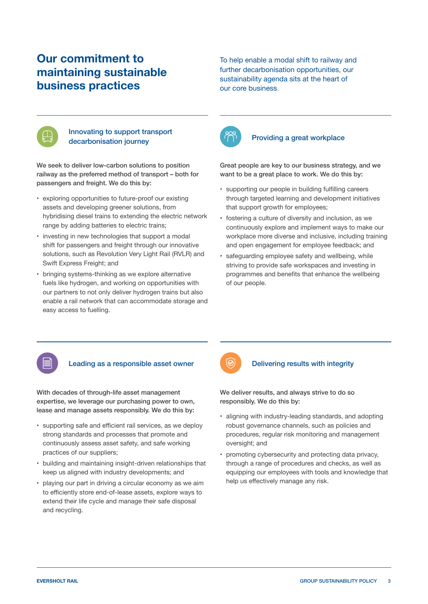## **Our commitment to maintaining sustainable business practices**

To help enable a modal shift to railway and further decarbonisation opportunities, our sustainability agenda sits at the heart of our core business.



#### Innovating to support transport decarbonisation journey

We seek to deliver low-carbon solutions to position railway as the preferred method of transport – both for passengers and freight. We do this by:

- exploring opportunities to future-proof our existing assets and developing greener solutions, from hybridising diesel trains to extending the electric network range by adding batteries to electric trains;
- investing in new technologies that support a modal shift for passengers and freight through our innovative solutions, such as Revolution Very Light Rail (RVLR) and Swift Express Freight; and
- bringing systems-thinking as we explore alternative fuels like hydrogen, and working on opportunities with our partners to not only deliver hydrogen trains but also enable a rail network that can accommodate storage and easy access to fuelling.



### Providing a great workplace

Great people are key to our business strategy, and we want to be a great place to work. We do this by:

- supporting our people in building fulfilling careers through targeted learning and development initiatives that support growth for employees;
- fostering a culture of diversity and inclusion, as we continuously explore and implement ways to make our workplace more diverse and inclusive, including training and open engagement for employee feedback; and
- safeguarding employee safety and wellbeing, while striving to provide safe workspaces and investing in programmes and benefits that enhance the wellbeing of our people.



#### Leading as a responsible asset owner

With decades of through-life asset management expertise, we leverage our purchasing power to own, lease and manage assets responsibly. We do this by:

- supporting safe and efficient rail services, as we deploy strong standards and processes that promote and continuously assess asset safety, and safe working practices of our suppliers;
- building and maintaining insight-driven relationships that keep us aligned with industry developments; and
- playing our part in driving a circular economy as we aim to efficiently store end-of-lease assets, explore ways to extend their life cycle and manage their safe disposal and recycling.



#### Delivering results with integrity

We deliver results, and always strive to do so responsibly. We do this by:

- aligning with industry-leading standards, and adopting robust governance channels, such as policies and procedures, regular risk monitoring and management oversight; and
- promoting cybersecurity and protecting data privacy, through a range of procedures and checks, as well as equipping our employees with tools and knowledge that help us effectively manage any risk.